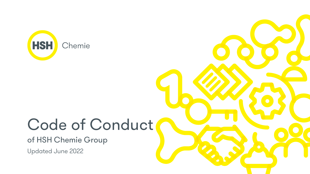

# Code of Conduct of HSH Chemie Group Updated June 2022

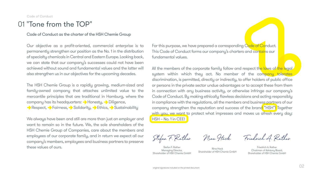Code of Conduct as the charter of the HSH Chemie Group

The HSH Chemie Group is a rapidly growing, medium-sized and family-owned company that attaches unlimited value to the mercantile principles that are traditional in Hamburg, where the company has its headquarters: Honesty, Diligence, Respect, Fairness, Solidarity, Pethics, Sustainability

Our objective as a profit-oriented, commercial enterprise is to permanently strengthen our position as the No. 1 in the distribution of specialty chemicals in Central and Eastern Europe. Looking back, we can state that our company's successes could not have been achieved without sound and fundamental values and the latter will also strengthen us in our objectives for the upcoming decades.

For this purpose, we have prepared a corresponding Code of Conduct. This Code of Conduct forms our company's charters and contains our fundamental values.

We always have been and still are more than just an employer and want to remain so in the future. We, the sole shareholders of the HSH Chemie Group of Companies, care about the members and employees of our corporate family, and in return we expect all our company's members, employees and business partners to preserve these values of ours.

All the members of the corporate family follow and respect the laws of the legal system within which they act. No member of the company tolerates discrimination, is permitted, directly or indirectly, to offer holders of public office or persons in the private sector undue advantages or to accept these from them in connection with any business activity, or otherwise infringe our company's Code of Conduct. By making ethically flawless decisions and acting responsibly in compliance with the regulations, all the members and business partners of our company strengthen the reputation and success of the brand "HSH"! Together with you, we want to protect what impresses and moves us afresh every day: HSH – No. 1 in CEE!

Code of Conduct

### 01 "Tone from the TOP"

Stefan F. Rather Managing Director, Shareholder of HSH Chemie GmbH

Nina Hack Shareholder of HSH Chemie GmbH

Stefan F. Rather Nina Hack Friedrich A. Rather

Friedrich A. Rather Chairman of Advisory Board, Shareholder of HSH Chemie GmbH



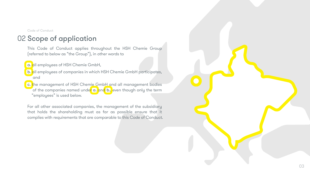# 02 Scope of application

This Code of Conduct applies throughout the HSH Chemie Group (referred to below as "the Group"), in other words to

a. all employees of HSH Chemie GmbH,

- b. all employees of companies in which HSH Chemie GmbH participates, and
- c. the management of HSH Chemie GmbH and all management bodies of the companies named under a. and b., even though only the term "employees" is used below.

For all other associated companies, the management of the subsidiary that holds the shareholding must as far as possible ensure that it complies with requirements that are comparable to this Code of Conduct.



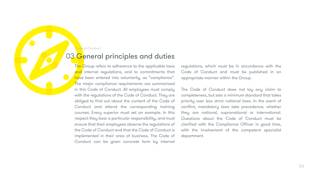# 03 General principles and duties

The Group refers to adherence to the applicable laws and internal regulations, and to commitments that have been entered into voluntarily, as "compliance". The major compliance requirements are summarised in this Code of Conduct. All employees must comply with the regulations of the Code of Conduct. They are obliged to find out about the content of the Code of Conduct and attend the corresponding training courses. Every superior must set an example. In this respect they bear a particular responsibility, and must ensure that their employees observe the regulations of the Code of Conduct and that the Code of Conduct is implemented in their area of business. The Code of Conduct can be given concrete form by internal

regulations, which must be in accordance with the Code of Conduct and must be published in an appropriate manner within the Group.

The Code of Conduct does not lay any claim to completeness, but sets a minimum standard that takes priority over less strict national laws. In the event of conflict, mandatory laws take precedence, whether they are national, supranational or international. Questions about the Code of Conduct must be clarified with the Compliance Officer in good time, with the involvement of the competent specialist department.

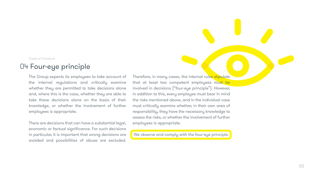The Group expects its employees to take account of the internal regulations and critically examine whether they are permitted to take decisions alone and, where this is the case, whether they are able to take these decisions alone on the basis of their knowledge, or whether the involvement of further employees is appropriate.

There are decisions that can have a substantial legal, economic or factual significance. For such decisions in particular, it is important that wrong decisions are avoided and possibilities of abuse are excluded.

Therefore, in many cases, the internal rules stipulate that at least two competent employees must be involved in decisions ("four-eye principle"). However, in addition to this, every employee must bear in mind the risks mentioned above, and in the individual case must critically examine whether, in their own area of responsibility, they have the necessary knowledge to assess the risks, or whether the involvement of further employees is appropriate.

We observe and comply with the four-eye principle.

#### Code of Conduct

### 04 Four-eye principle

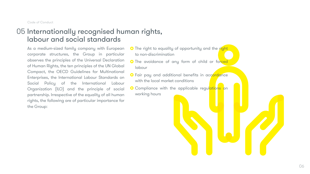As a medium-sized family company with European corporate structures, the Group in particular observes the principles of the Universal Declaration of Human Rights, the ten principles of the UN Global Compact, the OECD Guidelines for Multinational Enterprises, the International Labour Standards on Social Policy of the International Labour Organization (ILO) and the principle of social partnership. Irrespective of the equality of all human rights, the following are of particular importance for the Group:

- **O** The right to equality of opportunity and the right to non-discrimination
- **O** The avoidance of any form of child or forced labour
- **O** Fair pay and additional benefits in accordance with the local market conditions
- **O** Compliance with the applicable regulations on working hours

# 05 Internationally recognised human rights, labour and social standards

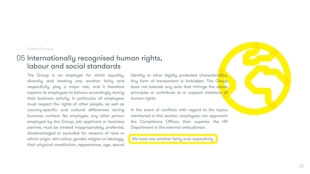### 05 Internationally recognised human rights, labour and social standards

The Group is an employer for which equality, diversity and treating one another fairly and respectfully, play a major role, and it therefore expects its employees to behave accordingly during their business activity. In particular, all employees must respect the rights of other people, as well as country-specific and cultural differences during business contact. No employee, any other person employed by the Group, job applicant or business partner, must be treated inappropriately, preferred, disadvantaged or excluded for reasons of race or ethnic origin, skin colour, gender, religion or ideology, their physical constitution, appearance, age, sexual

identity or other legally protected characteristics. Any form of harassment is forbidden. The Group does not tolerate any acts that infringe the above principles or contribute to or support violations of human rights.

In the event of conflicts with regard to the topics mentioned in this section, employees can approach the Compliance Officer, their superior, the HR Department or the external ombudsman.

We treat one another fairly and respectfully

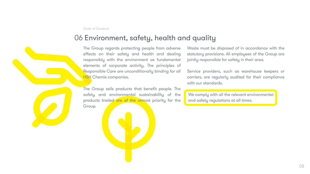# 06 Environment, safety, health and quality

The Group regards protecting people from adverse effects on their safety and health and dealing responsibly with the environment as fundamental elements of corporate activity. The principles of Responsible Care are unconditionally binding for all **HSH** Chemie companies. Waste must be disposed of in accordance with the statutory provisions. All employees of the Group are jointly responsible for safety in their area. Service providers, such as warehouse keepers or carriers, are regularly audited for their compliance with our standards.

The Group sells products that benefit people. The safety and environmental sustainability of the products traded are of the utmost priority for the Group.

 We comply with all the relevant environmental and safety regulations at all times.

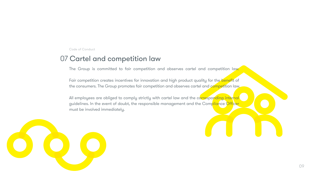All employees are obliged to comply strictly with cartel law and the corresponding internal guidelines. In the event of doubt, the responsible management and the Compliance Officer must be involved immediately.



Code of Conduct

### 07 Cartel and competition law

The Group is committed to fair competition and observes cartel and competition law.

Fair competition creates incentives for innovation and high product quality for the benefit of the consumers. The Group promotes fair competition and observes cartel and competition law.

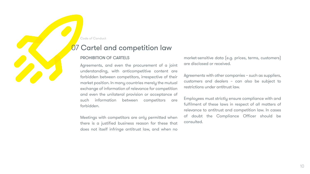#### PROHIBITION OF CARTELS

Agreements, and even the procurement of a joint understanding, with anticompetitive content are forbidden between competitors, irrespective of their market position. In many countries merely the mutual exchange of information of relevance for competition and even the unilateral provision or acceptance of such information between competitors are forbidden.

Meetings with competitors are only permitted when there is a justified business reason for these that does not itself infringe antitrust law, and when no

market-sensitive data (e.g. prices, terms, customers) are disclosed or received.

Agreements with other companies – such as suppliers, customers and dealers – can also be subject to restrictions under antitrust law.

Employees must strictly ensure compliance with and fulfilment of these laws in respect of all matters of relevance to antitrust and competition law. In cases of doubt the Compliance Officer should be consulted.

Code of Conduct

# 07 Cartel and competition law

#### 10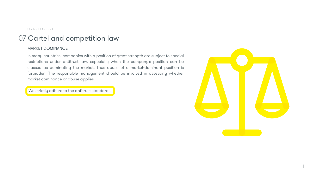# 07 Cartel and competition law

#### MARKET DOMINANCE

In many countries, companies with a position of great strength are subject to special restrictions under antitrust law, especially when the company's position can be classed as dominating the market. Thus abuse of a market-dominant position is forbidden. The responsible management should be involved in assessing whether market dominance or abuse applies.

We strictly adhere to the antitrust standards.



11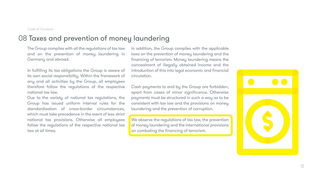# 08 Taxes and prevention of money laundering

The Group complies with all the regulations of tax law and on the prevention of money laundering in Germany and abroad.

In fulfilling its tax obligations the Group is aware of its own social responsibility. Within the framework of any and all activities by the Group, all employees therefore follow the regulations of the respective national tax law.

In addition, the Group complies with the applicable laws on the prevention of money laundering and the financing of terrorism. Money laundering means the concealment of illegally obtained income and the introduction of this into legal economic and financial circulation.

Due to the variety of national tax regulations, the Group has issued uniform internal rules for the standardisation of cross-border circumstances, which must take precedence in the event of less strict national tax provisions. Otherwise all employees follow the regulations of the respective national tax law at all times.

Cash payments to and by the Group are forbidden, apart from cases of minor significance. Otherwise payments must be structured in such a way as to be consistent with tax law and the provisions on money laundering and the prevention of corruption.

We observe the regulations of tax law, the prevention of money laundering and the international provisions on combating the financing of terrorism.





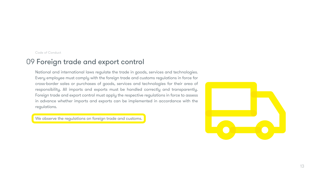National and international laws regulate the trade in goods, services and technologies. Every employee must comply with the foreign trade and customs regulations in force for cross-border sales or purchases of goods, services and technologies for their area of responsibility. All imports and exports must be handled correctly and transparently. Foreign trade and export control must apply the respective regulations in force to assess in advance whether imports and exports can be implemented in accordance with the regulations.

We observe the regulations on foreign trade and customs.



Code of Conduct

## 09 Foreign trade and export control

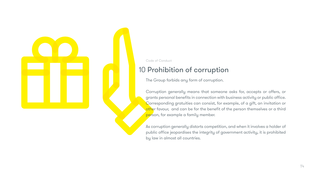The Group forbids any form of corruption.

Corruption generally means that someone asks for, accepts or offers, or grants personal benefits in connection with business activity or public office. Corresponding gratuities can consist, for example, of a gift, an invitation or other favour, and can be for the benefit of the person themselves or a third person, for example a family member.

As corruption generally distorts competition, and when it involves a holder of public office jeopardises the integrity of government activity, it is prohibited by law in almost all countries.





Code of Conduct

# 10 Prohibition of corruption

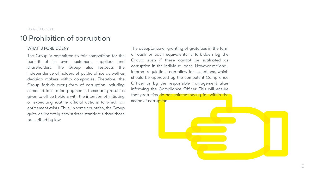#### WHAT IS FORBIDDEN?

The acceptance or granting of gratuities in the form of cash or cash equivalents is forbidden by the Group, even if these cannot be evaluated as corruption in the individual case. However regional, internal regulations can allow for exceptions, which should be approved by the competent Compliance Officer or by the responsible management after informing the Compliance Officer. This will ensure that gratuities do not unintentionally fall within the scope of corruption.



The Group is committed to fair competition for the benefit of its own customers, suppliers and shareholders. The Group also respects the independence of holders of public office as well as decision makers within companies. Therefore, the Group forbids every form of corruption including so-called facilitation payments; these are gratuities given to office holders with the intention of initiating or expediting routine official actions to which an entitlement exists. Thus, in some countries, the Group quite deliberately sets stricter standards than those prescribed by law.

Code of Conduct

# 10 Prohibition of corruption

15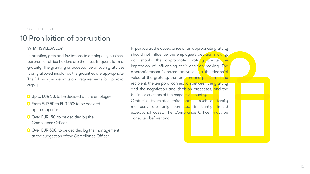# 10 Prohibition of corruption

#### WHAT IS ALLOWED?

In practice, gifts and invitations to employees, business partners or office holders are the most frequent form of gratuity. The granting or acceptance of such gratuities is only allowed insofar as the gratuities are appropriate. The following value limits and requirements for approval apply:

- O Up to EUR 50: to be decided by the employee
- **O** From EUR 50 to EUR 150: to be decided by the superior
- O Over EUR 150: to be decided by the Compliance Officer
- O Over EUR 500: to be decided by the management at the suggestion of the Compliance Officer

In particular, the acceptance of an appropriate gratuity should not influence the employee's decision making, nor should the appropriate gratuity create the impression of influencing their decision making. The appropriateness is based above all on the financial value of the gratuity, the function and position of the recipient, the temporal connection between the gratuity and the negotiation and decision processes, and the business customs of the respective country.

Gratuities to related third parties, such as family members, are only permitted in tightly limited exceptional cases. The Compliance Officer must be consulted beforehand.



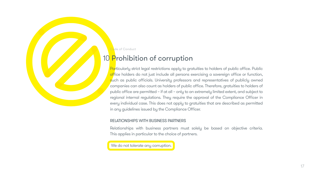# 10 Prohibition of corruption

Particularly strict legal restrictions apply to gratuities to holders of public office. Public office holders do not just include all persons exercising a sovereign office or function, such as public officials. University professors and representatives of publicly owned companies can also count as holders of public office. Therefore, gratuities to holders of public office are permitted – if at all – only to an extremely limited extent, and subject to regional internal regulations. They require the approval of the Compliance Officer in every individual case. This does not apply to gratuities that are described as permitted in any guidelines issued by the Compliance Officer.

#### RELATIONSHIPS WITH BUSINESS PARTNERS

Relationships with business partners must solely be based on objective criteria. This applies in particular to the choice of partners.

We do not tolerate any corruption.

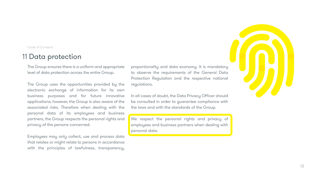# 11 Data protection

The Group ensures there is a uniform and appropriate level of data protection across the entire Group.

The Group uses the opportunities provided by the electronic exchange of information for its own business purposes and for future innovative applications; however, the Group is also aware of the associated risks. Therefore when dealing with the personal data of its employees and business partners, the Group respects the personal rights and privacy of the persons concerned.

Employees may only collect, use and process data that relates or might relate to persons in accordance with the principles of lawfulness, transparency,

proportionality and data economy. It is mandatory to observe the requirements of the General Data Protection Regulation and the respective national regulations.

In all cases of doubt, the Data Privacy Officer should be consulted in order to guarantee compliance with the laws and with the standards of the Group.

We respect the personal rights and privacy of employees and business partners when dealing with personal data.





18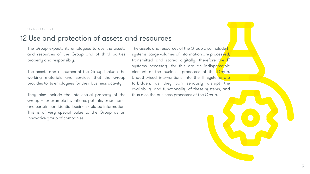The Group expects its employees to use the assets and resources of the Group and of third parties properly and responsibly.

The assets and resources of the Group include the working materials and services that the Group provides to its employees for their business activity.

They also include the intellectual property of the Group – for example inventions, patents, trademarks and certain confidential business-related information. This is of very special value to the Group as an innovative group of companies.

The assets and resources of the Group also include<sup>IT</sup> systems. Large volumes of information are processed, transmitted and stored digitally, therefore the IT systems necessary for this are an indispensable element of the business processes of the Group. Unauthorised interventions into the IT systems are forbidden, as they can seriously disrupt the availability and functionality of these systems, and thus also the business processes of the Group.

# 12 Use and protection of assets and resources

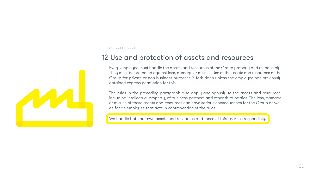# 12 Use and protection of assets and resources

Every employee must handle the assets and resources of the Group properly and responsibly. They must be protected against loss, damage or misuse. Use of the assets and resources of the Group for private or non-business purposes is forbidden unless the employee has previously obtained express permission for this.

The rules in the preceding paragraph also apply analogously to the assets and resources, including intellectual property, of business partners and other third parties. The loss, damage or misuse of these assets and resources can have serious consequences for the Group as well as for an employee that acts in contravention of the rules.

We handle both our own assets and resources and those of third parties responsibly.



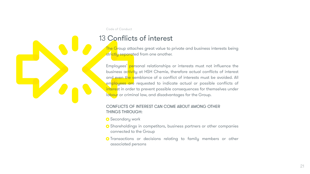# 13 Conflicts of interest

The Group attaches great value to private and business interests being strictly separated from one another.

Employees' personal relationships or interests must not influence the business activity at HSH Chemie, therefore actual conflicts of interest and even the semblance of a conflict of interests must be avoided. All employees are requested to indicate actual or possible conflicts of interest in order to prevent possible consequences for themselves under labour or criminal law, and disadvantages for the Group.

- **O** Secondary work
- connected to the Group
- associated persons

#### CONFLICTS OF INTEREST CAN COME ABOUT AMONG OTHER

THINGS THROUGH:

Shareholdings in competitors, business partners or other companies

**O** Transactions or decisions relating to family members or other

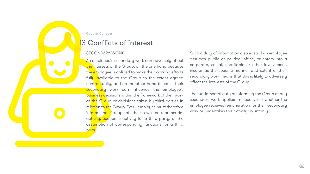#### SECONDARY WORK

An employee's secondary work can adversely affect the interests of the Group, on the one hand because the employee is obliged to make their working efforts fully available to the Group to the extent agreed contractually, and on the other hand because their secondary work can influence the employee's business decisions within the framework of their work at the Group or decisions taken by third parties in relation to the Group. Every employee must therefore inform the Group of their own entrepreneurial activity, economic activity for a third party, or the assumption of corresponding functions for a third party.

Such a duty of information also exists if an employee assumes public or political office, or enters into a corporate, social, charitable or other involvement, insofar as the specific manner and extent of their secondary work means that this is likely to adversely affect the interests of the Group.

The fundamental duty of informing the Group of any secondary work applies irrespective of whether the employee receives remuneration for their secondary work or undertakes this activity voluntarily.



Code of Conduct

# **13 Conflicts of interest**

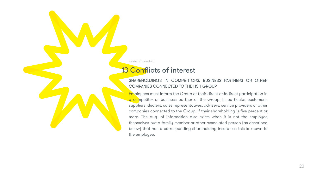#### SHAREHOLDINGS IN COMPETITORS, BUSINESS PARTNERS OR OTHER COMPANIES CONNECTED TO THE HSH GROUP

Employees must inform the Group of their direct or indirect participation in a competitor or business partner of the Group, in particular customers, suppliers, dealers, sales representatives, advisers, service providers or other companies connected to the Group, if their shareholding is five percent or more. The duty of information also exists when it is not the employee themselves but a family member or other associated person (as described below) that has a corresponding shareholding insofar as this is known to the employee.

Code of Conduct

# **13 Conflicts of interest**

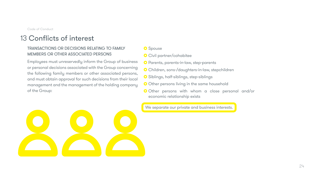# 13 Conflicts of interest

#### TRANSACTIONS OR DECISIONS RELATING TO FAMILY MEMBERS OR OTHER ASSOCIATED PERSONS

Employees must unreservedly inform the Group of business or personal decisions associated with the Group concerning the following family members or other associated persons, and must obtain approval for such decisions from their local management and the management of the holding company of the Group:



#### **O** Spouse

- **O** Civil partner/cohabitee
- **O** Parents, parents-in-law, step-parents
- Children, sons-/daughters-in-law, stepchildren
- Siblings, half-siblings, step-siblings
- O Other persons living in the same household
- Other persons with whom a close personal and/or economic relationship exists

We separate our private and business interests.

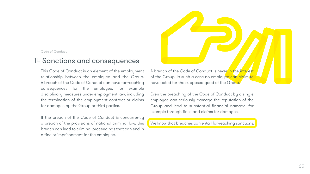This Code of Conduct is an element of the employment relationship between the employee and the Group. A breach of the Code of Conduct can have far-reaching consequences for the employee, for example disciplinary measures under employment law, including the termination of the employment contract or claims for damages by the Group or third parties.

If the breach of the Code of Conduct is concurrently a breach of the provisions of national criminal law, this breach can lead to criminal proceedings that can end in a fine or imprisonment for the employee.

A breach of the Code of Conduct is never in the interest of the Group. In such a case no employee can claim to have acted for the supposed good of the Group.

Even the breaching of the Code of Conduct by a single employee can seriously damage the reputation of the Group and lead to substantial financial damage, for example through fines and claims for damages.

We know that breaches can entail far-reaching sanctions.

Code of Conduct

### 14 Sanctions and consequences

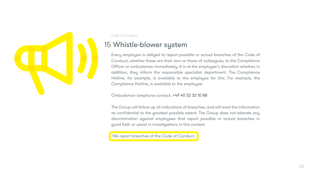Every employee is obliged to report possible or actual breaches of the Code of Conduct, whether these are their own or those of colleagues, to the Compliance Officer or ombudsman immediately. It is at the employee's discretion whether, in addition, they inform the responsible specialist department. The Compliance Hotline, for example, is available to the employee for this. For example, the Compliance Hotline, is available to the employee:

Ombudsman telephone contact: +49 40 32 32 10 88

The Group will follow up all indications of breaches, and will treat the information as confidential to the greatest possible extent. The Group does not tolerate any discrimination against employees that report possible or actual breaches in good faith or assist in investigations in this context.

We report breaches of the Code of Conduct.



Code of Conduct

# 15 Whistle-blower system

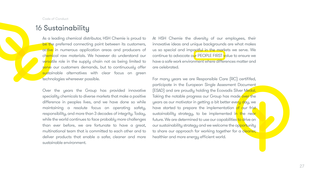# 16 Sustainability

As a leading chemical distributor, HSH Chemie is proud to be the preferred connecting point between its customers, active in numerous application areas and producers of chemical raw materials. We however do understand our versatile role in the supply chain not as being limited to serve our customers demands, but to continuously offer sustainable alternatives with clear focus on green technologies whereever possible. At HSH Chemie the diversity of our employees, their innovative ideas and unique backgrounds are what makes us so special and impactful in the markets we serve. We continue to advocate our PEOPLE FIRST value to ensure we have a safe work environment where differences matter and are celebrated. For many years we are Responsible Care (RC) certififed,

Over the years the Group has provided innovative speciality chemicals to diverse markets that make a positive difference in peoples lives, and we have done so while maintaining a resolute focus on operating safety, responsibility, and more than 3 decades of integrity. Today, while the world continues to face probably more challenges than ever before, we are fortunate to have a great, multinational team that is committed to each other and to deliver products that enable a safer, cleaner and more sustainable environment. participate in the European Single Assesment Document (ESAD) and are proudly holding the Ecovadis Silver Medal. Taking the notable progress our Group has made over the years as our motivator in getting a bit better every day, we have started to prepare the implementation of our frist sustainability strategy, to be implemented in the near future. We are determined to use our capabilities to drive on our sustainability strategy and we welcome the opportunity to share our approach for working together for a cleaner, healthier and more energy efficient world.